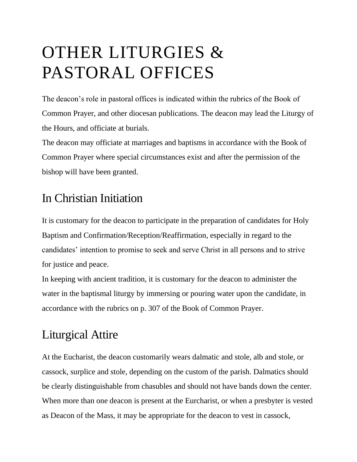## OTHER LITURGIES & PASTORAL OFFICES

The deacon's role in pastoral offices is indicated within the rubrics of the Book of Common Prayer, and other diocesan publications. The deacon may lead the Liturgy of the Hours, and officiate at burials.

The deacon may officiate at marriages and baptisms in accordance with the Book of Common Prayer where special circumstances exist and after the permission of the bishop will have been granted.

## In Christian Initiation

It is customary for the deacon to participate in the preparation of candidates for Holy Baptism and Confirmation/Reception/Reaffirmation, especially in regard to the candidates' intention to promise to seek and serve Christ in all persons and to strive for justice and peace.

In keeping with ancient tradition, it is customary for the deacon to administer the water in the baptismal liturgy by immersing or pouring water upon the candidate, in accordance with the rubrics on p. 307 of the Book of Common Prayer.

## Liturgical Attire

At the Eucharist, the deacon customarily wears dalmatic and stole, alb and stole, or cassock, surplice and stole, depending on the custom of the parish. Dalmatics should be clearly distinguishable from chasubles and should not have bands down the center. When more than one deacon is present at the Eurcharist, or when a presbyter is vested as Deacon of the Mass, it may be appropriate for the deacon to vest in cassock,